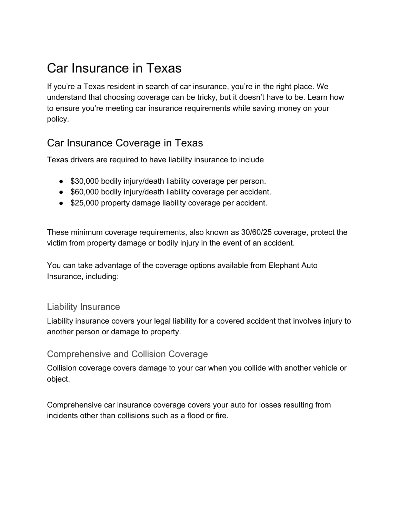# Car Insurance in Texas

If you're a Texas resident in search of car insurance, you're in the right place. We understand that choosing coverage can be tricky, but it doesn't have to be. Learn how to ensure you're meeting car insurance requirements while saving money on your policy.

# Car Insurance Coverage in Texas

Texas drivers are required to have liability insurance to include

- \$30,000 bodily injury/death liability coverage per person.
- \$60,000 bodily injury/death liability coverage per accident.
- \$25,000 property damage liability coverage per accident.

These minimum coverage requirements, also known as 30/60/25 coverage, protect the victim from property damage or bodily injury in the event of an accident.

You can take advantage of the coverage options available from Elephant Auto Insurance, including:

#### Liability Insurance

Liability insurance covers your legal liability for a covered accident that involves injury to another person or damage to property.

#### Comprehensive and Collision Coverage

Collision coverage covers damage to your car when you collide with another vehicle or object.

Comprehensive car insurance coverage covers your auto for losses resulting from incidents other than collisions such as a flood or fire.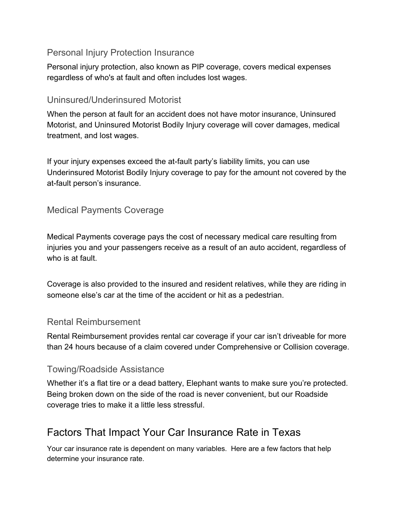#### Personal Injury Protection Insurance

Personal injury protection, also known as PIP coverage, covers medical expenses regardless of who's at fault and often includes lost wages.

#### Uninsured/Underinsured Motorist

When the person at fault for an accident does not have motor insurance, Uninsured Motorist, and Uninsured Motorist Bodily Injury coverage will cover damages, medical treatment, and lost wages.

If your injury expenses exceed the at-fault party's liability limits, you can use Underinsured Motorist Bodily Injury coverage to pay for the amount not covered by the at-fault person's insurance.

#### Medical Payments Coverage

Medical Payments coverage pays the cost of necessary medical care resulting from injuries you and your passengers receive as a result of an auto accident, regardless of who is at fault.

Coverage is also provided to the insured and resident relatives, while they are riding in someone else's car at the time of the accident or hit as a pedestrian.

#### Rental Reimbursement

Rental Reimbursement provides rental car coverage if your car isn't driveable for more than 24 hours because of a claim covered under Comprehensive or Collision coverage.

#### Towing/Roadside Assistance

Whether it's a flat tire or a dead battery, Elephant wants to make sure you're protected. Being broken down on the side of the road is never convenient, but our Roadside coverage tries to make it a little less stressful.

## Factors That Impact Your Car Insurance Rate in Texas

Your car insurance rate is dependent on many variables. Here are a few factors that help determine your insurance rate.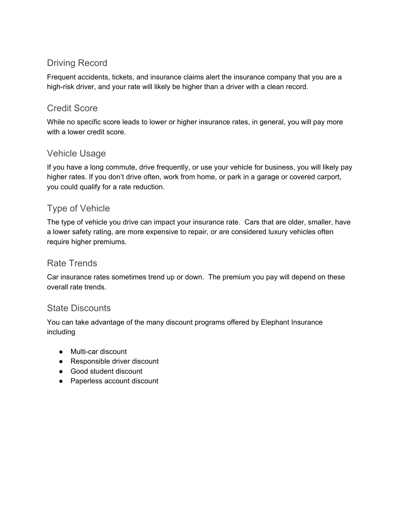#### Driving Record

Frequent accidents, tickets, and insurance claims alert the insurance company that you are a high-risk driver, and your rate will likely be higher than a driver with a clean record.

#### Credit Score

While no specific score leads to lower or higher insurance rates, in general, you will pay more with a lower credit score.

#### Vehicle Usage

If you have a long commute, drive frequently, or use your vehicle for business, you will likely pay higher rates. If you don't drive often, work from home, or park in a garage or covered carport, you could qualify for a rate reduction.

### Type of Vehicle

The type of vehicle you drive can impact your insurance rate. Cars that are older, smaller, have a lower safety rating, are more expensive to repair, or are considered luxury vehicles often require higher premiums.

#### Rate Trends

Car insurance rates sometimes trend up or down. The premium you pay will depend on these overall rate trends.

#### State Discounts

You can take advantage of the many discount programs offered by Elephant Insurance including

- Multi-car discount
- Responsible driver discount
- Good student discount
- Paperless account discount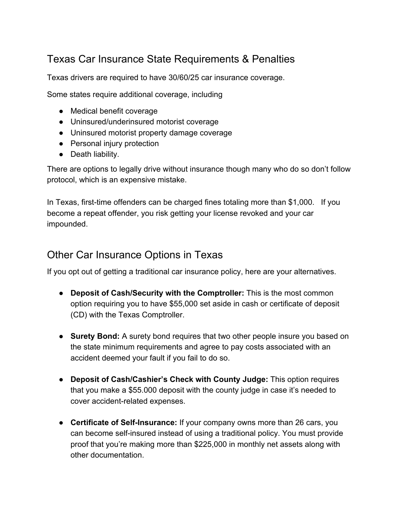# Texas Car Insurance State Requirements & Penalties

Texas drivers are required to have 30/60/25 car insurance coverage.

Some states require additional coverage, including

- Medical benefit coverage
- Uninsured/underinsured motorist coverage
- Uninsured motorist property damage coverage
- Personal injury protection
- Death liability.

There are options to legally drive without insurance though many who do so don't follow protocol, which is an expensive mistake.

In Texas, first-time offenders can be charged fines totaling more than \$1,000. If you become a repeat offender, you risk getting your license revoked and your car impounded.

### Other Car Insurance Options in Texas

If you opt out of getting a traditional car insurance policy, here are your alternatives.

- **Deposit of Cash/Security with the Comptroller:** This is the most common option requiring you to have \$55,000 set aside in cash or certificate of deposit (CD) with the Texas Comptroller.
- **● Surety Bond:** A surety bond requires that two other people insure you based on the state minimum requirements and agree to pay costs associated with an accident deemed your fault if you fail to do so.
- **● Deposit of Cash/Cashier's Check with County Judge:** This option requires that you make a \$55.000 deposit with the county judge in case it's needed to cover accident-related expenses.
- **Certificate of Self-Insurance:** If your company owns more than 26 cars, you can become self-insured instead of using a traditional policy. You must provide proof that you're making more than \$225,000 in monthly net assets along with other documentation.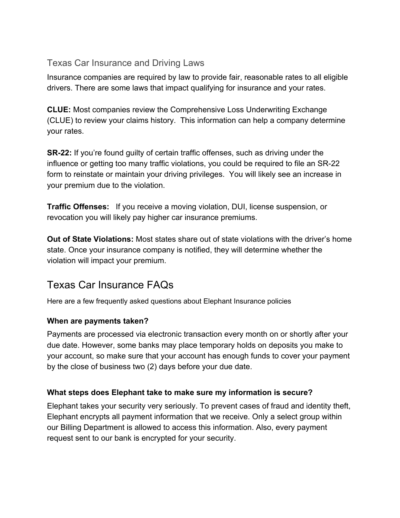#### Texas Car Insurance and Driving Laws

Insurance companies are required by law to provide fair, reasonable rates to all eligible drivers. There are some laws that impact qualifying for insurance and your rates.

**CLUE:** Most companies review the Comprehensive Loss Underwriting Exchange (CLUE) to review your claims history. This information can help a company determine your rates.

**SR-22:** If you're found guilty of certain traffic offenses, such as driving under the influence or getting too many traffic violations, you could be required to file an SR-22 form to reinstate or maintain your driving privileges. You will likely see an increase in your premium due to the violation.

**Traffic Offenses:** If you receive a moving violation, DUI, license suspension, or revocation you will likely pay higher car insurance premiums.

**Out of State Violations:** Most states share out of state violations with the driver's home state. Once your insurance company is notified, they will determine whether the violation will impact your premium.

# Texas Car Insurance FAQs

Here are a few frequently asked questions about Elephant Insurance policies

#### **When are payments taken?**

Payments are processed via electronic transaction every month on or shortly after your due date. However, some banks may place temporary holds on deposits you make to your account, so make sure that your account has enough funds to cover your payment by the close of business two (2) days before your due date.

#### **What steps does Elephant take to make sure my information is secure?**

Elephant takes your security very seriously. To prevent cases of fraud and identity theft, Elephant encrypts all payment information that we receive. Only a select group within our Billing Department is allowed to access this information. Also, every payment request sent to our bank is encrypted for your security.